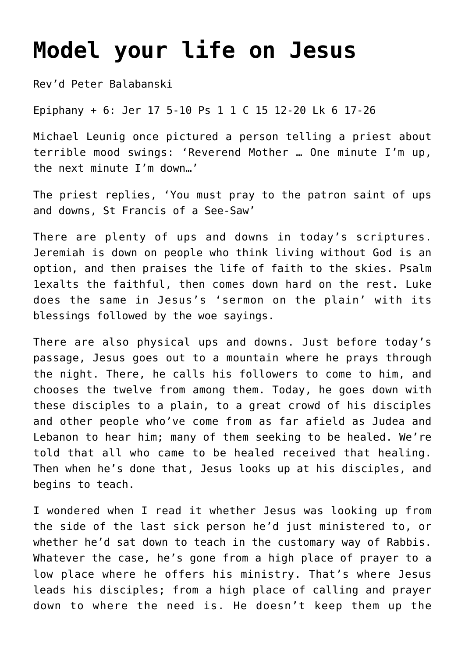## **[Model your life on Jesus](http://stjohnsadelaide.org.au/model-your-life-on-jesus/)**

Rev'd Peter Balabanski

Epiphany + 6: Jer 17 5-10 Ps 1 1 C 15 12-20 Lk 6 17-26

Michael Leunig once pictured a person telling a priest about terrible mood swings: 'Reverend Mother … One minute I'm up, the next minute I'm down…'

The priest replies, 'You must pray to the patron saint of ups and downs, St Francis of a See-Saw'

There are plenty of ups and downs in today's scriptures. Jeremiah is down on people who think living without God is an option, and then praises the life of faith to the skies. Psalm 1exalts the faithful, then comes down hard on the rest. Luke does the same in Jesus's 'sermon on the plain' with its blessings followed by the woe sayings.

There are also physical ups and downs. Just before today's passage, Jesus goes out to a mountain where he prays through the night. There, he calls his followers to come to him, and chooses the twelve from among them. Today, he goes down with these disciples to a plain, to a great crowd of his disciples and other people who've come from as far afield as Judea and Lebanon to hear him; many of them seeking to be healed. We're told that all who came to be healed received that healing. Then when he's done that, Jesus looks up at his disciples, and begins to teach.

I wondered when I read it whether Jesus was looking up from the side of the last sick person he'd just ministered to, or whether he'd sat down to teach in the customary way of Rabbis. Whatever the case, he's gone from a high place of prayer to a low place where he offers his ministry. That's where Jesus leads his disciples; from a high place of calling and prayer down to where the need is. He doesn't keep them up the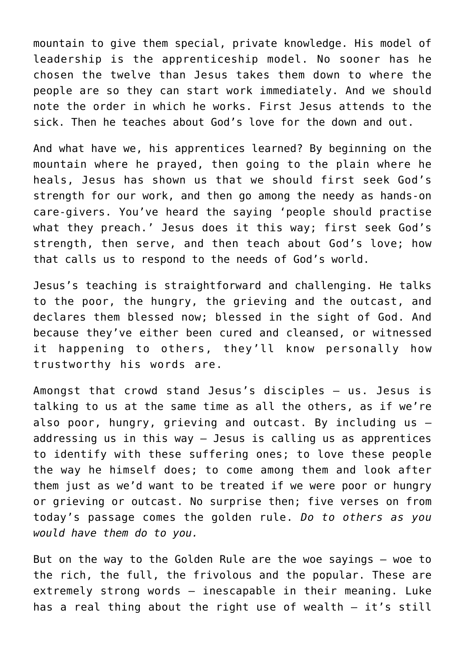mountain to give them special, private knowledge. His model of leadership is the apprenticeship model. No sooner has he chosen the twelve than Jesus takes them down to where the people are so they can start work immediately. And we should note the order in which he works. First Jesus attends to the sick. Then he teaches about God's love for the down and out.

And what have we, his apprentices learned? By beginning on the mountain where he prayed, then going to the plain where he heals, Jesus has shown us that we should first seek God's strength for our work, and then go among the needy as hands-on care-givers. You've heard the saying 'people should practise what they preach.' Jesus does it this way; first seek God's strength, then serve, and then teach about God's love; how that calls us to respond to the needs of God's world.

Jesus's teaching is straightforward and challenging. He talks to the poor, the hungry, the grieving and the outcast, and declares them blessed now; blessed in the sight of God. And because they've either been cured and cleansed, or witnessed it happening to others, they'll know personally how trustworthy his words are.

Amongst that crowd stand Jesus's disciples – us. Jesus is talking to us at the same time as all the others, as if we're also poor, hungry, grieving and outcast. By including us – addressing us in this way – Jesus is calling us as apprentices to identify with these suffering ones; to love these people the way he himself does; to come among them and look after them just as we'd want to be treated if we were poor or hungry or grieving or outcast. No surprise then; five verses on from today's passage comes the golden rule. *Do to others as you would have them do to you.*

But on the way to the Golden Rule are the woe sayings – woe to the rich, the full, the frivolous and the popular. These are extremely strong words – inescapable in their meaning. Luke has a real thing about the right use of wealth – it's still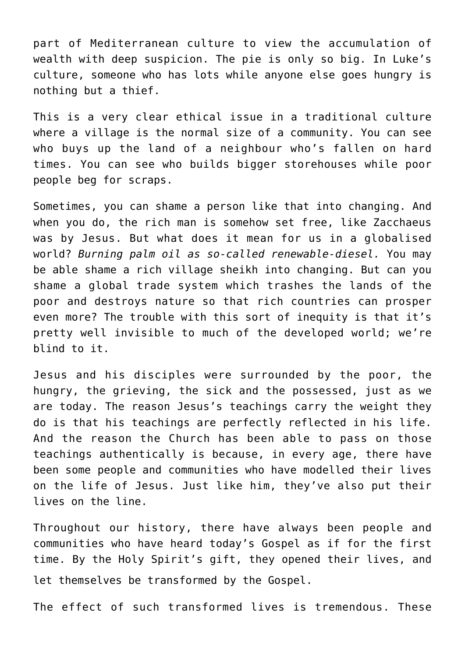part of Mediterranean culture to view the accumulation of wealth with deep suspicion. The pie is only so big. In Luke's culture, someone who has lots while anyone else goes hungry is nothing but a thief.

This is a very clear ethical issue in a traditional culture where a village is the normal size of a community. You can see who buys up the land of a neighbour who's fallen on hard times. You can see who builds bigger storehouses while poor people beg for scraps.

Sometimes, you can shame a person like that into changing. And when you do, the rich man is somehow set free, like Zacchaeus was by Jesus. But what does it mean for us in a globalised world? *Burning palm oil as so-called renewable-diesel.* You may be able shame a rich village sheikh into changing. But can you shame a global trade system which trashes the lands of the poor and destroys nature so that rich countries can prosper even more? The trouble with this sort of inequity is that it's pretty well invisible to much of the developed world; we're blind to it.

Jesus and his disciples were surrounded by the poor, the hungry, the grieving, the sick and the possessed, just as we are today. The reason Jesus's teachings carry the weight they do is that his teachings are perfectly reflected in his life. And the reason the Church has been able to pass on those teachings authentically is because, in every age, there have been some people and communities who have modelled their lives on the life of Jesus. Just like him, they've also put their lives on the line.

Throughout our history, there have always been people and communities who have heard today's Gospel as if for the first time. By the Holy Spirit's gift, they opened their lives, and let themselves be transformed by the Gospel.

The effect of such transformed lives is tremendous. These